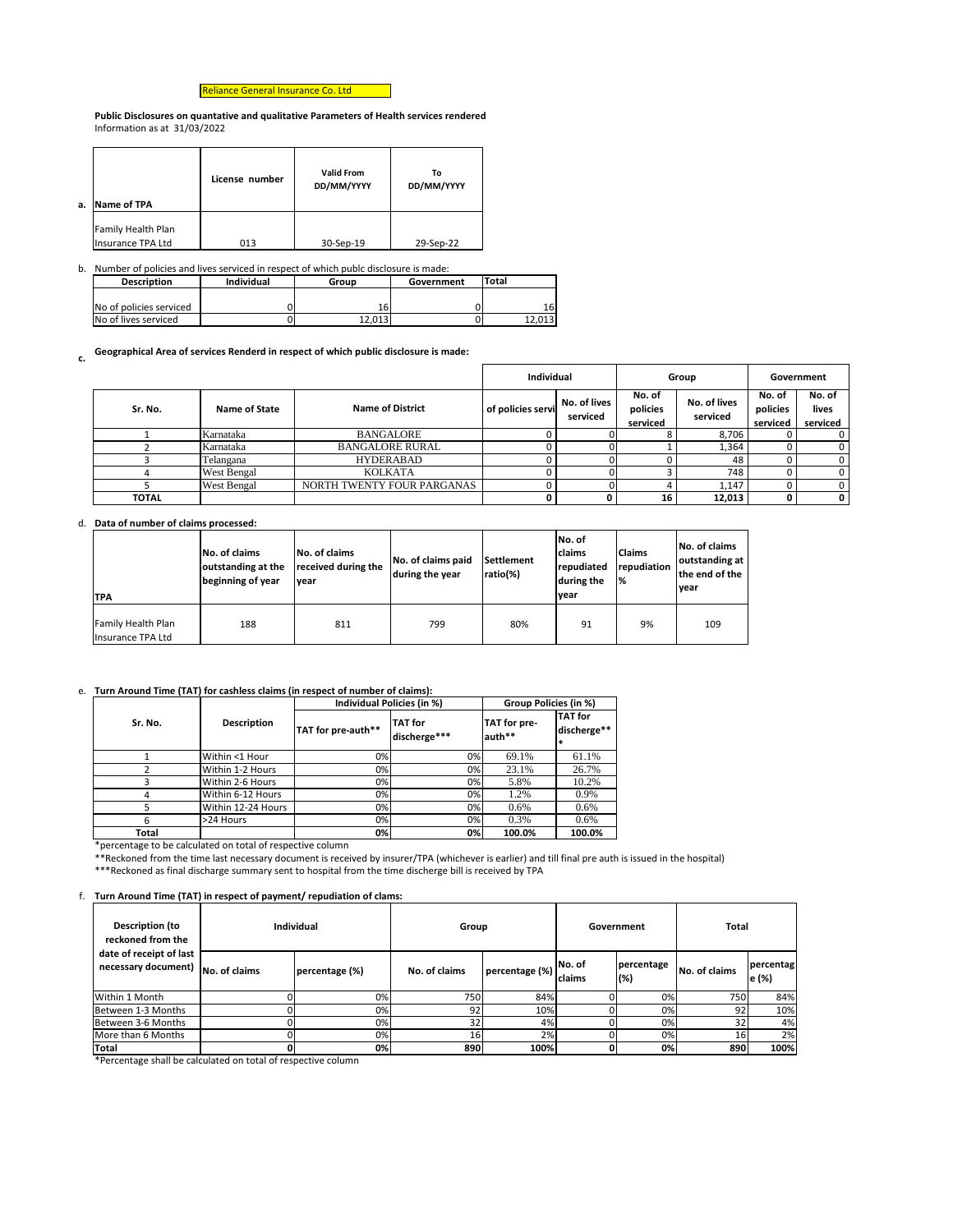Reliance General Insurance Co. Ltd

**Public Disclosures on quantative and qualitative Parameters of Health services rendered** Information as at 31/03/2022

| а. | Name of TPA                             | License number | <b>Valid From</b><br>DD/MM/YYYY | Т٥<br>DD/MM/YYYY |
|----|-----------------------------------------|----------------|---------------------------------|------------------|
|    | Family Health Plan<br>Insurance TPA Ltd | 013            | 30-Sep-19                       | 29-Sep-22        |

b. Number of policies and lives serviced in respect of which publc disclosure is made:

| <b>Description</b>      | <b>Individual</b> | Group  | Government | Total |
|-------------------------|-------------------|--------|------------|-------|
|                         |                   |        |            |       |
| No of policies serviced |                   | '6     |            | 16    |
| No of lives serviced    |                   | 12.013 |            | .013  |

**c. Geographical Area of services Renderd in respect of which public disclosure is made:**

## d. **Data of number of claims processed:**

| lTPA                                                  | <b>No. of claims</b><br>outstanding at the<br>beginning of year | No. of claims<br>received during the<br>vear | No. of claims paid<br>during the year | Settlement<br>ratio(%) | No. of<br><b>claims</b><br>repudiated<br>during the<br>vear | <b>Claims</b><br>repudiation<br>$\frac{9}{6}$ | <b>No. of claims</b><br>outstanding at<br>the end of the<br>lvear |
|-------------------------------------------------------|-----------------------------------------------------------------|----------------------------------------------|---------------------------------------|------------------------|-------------------------------------------------------------|-----------------------------------------------|-------------------------------------------------------------------|
| <b>Family Health Plan</b><br><b>Insurance TPA Ltd</b> | 188                                                             | 811                                          | 799                                   | 80%                    | 91                                                          | 9%                                            | 109                                                               |

## e. **Turn Around Time (TAT) for cashless claims (in respect of number of claims):**

|                               |                    |                            | <b>Individual</b> |                          |                                | Group                    | Government                     |                             |
|-------------------------------|--------------------|----------------------------|-------------------|--------------------------|--------------------------------|--------------------------|--------------------------------|-----------------------------|
| Sr. No.                       | Name of State      | <b>Name of District</b>    | of policies servi | No. of lives<br>serviced | No. of<br>policies<br>serviced | No. of lives<br>serviced | No. of<br>policies<br>serviced | No. of<br>lives<br>serviced |
|                               | Karnataka          | <b>BANGALORE</b>           |                   |                          |                                | 8,706                    |                                |                             |
|                               | Karnataka          | <b>BANGALORE RURAL</b>     |                   |                          |                                | 1,364                    |                                |                             |
| <b>HYDERABAD</b><br>Telangana |                    |                            |                   |                          |                                | 48                       |                                |                             |
|                               | <b>West Bengal</b> | <b>KOLKATA</b>             |                   |                          |                                | 748                      |                                |                             |
|                               | <b>West Bengal</b> | NORTH TWENTY FOUR PARGANAS |                   |                          |                                | 1,147                    |                                |                             |
| <b>TOTAL</b>                  |                    |                            |                   |                          | 16                             | 12,013                   |                                | $\mathbf 0$                 |

\*percentage to be calculated on total of respective column

\*\*Reckoned from the time last necessary document is received by insurer/TPA (whichever is earlier) and till final pre auth is issued in the hospital)

\*\*\*Reckoned as final discharge summary sent to hospital from the time discherge bill is received by TPA

|         |                    |                    | Individual Policies (in %)     | Group Policies (in %)  |                               |  |
|---------|--------------------|--------------------|--------------------------------|------------------------|-------------------------------|--|
| Sr. No. | <b>Description</b> | TAT for pre-auth** | <b>TAT</b> for<br>discherge*** | TAT for pre-<br>auth** | <b>TAT</b> for<br>discherge** |  |
|         | Within <1 Hour     | 0%l                | 0%                             | 69.1%                  | 61.1%                         |  |
|         | Within 1-2 Hours   | 0%                 | 0%                             | 23.1%                  | 26.7%                         |  |
| 3       | Within 2-6 Hours   | 0%                 | 0%                             | 5.8%                   | 10.2%                         |  |
| 4       | Within 6-12 Hours  | 0%                 | 0%                             | 1.2%                   | 0.9%                          |  |
|         | Within 12-24 Hours | 0%                 | 0%                             | $0.6\%$                | 0.6%                          |  |
| 6       | >24 Hours          | 0%                 | 0%                             | 0.3%                   | $0.6\%$                       |  |
| Total   |                    | 0%                 | 0%                             | 100.0%                 | 100.0%                        |  |

f. **Turn Around Time (TAT) in respect of payment/ repudiation of clams:**

| Description (to<br>reckoned from the                                          | <b>Individual</b> | Group<br>Government |                |                         | <b>Total</b>      |               |                               |
|-------------------------------------------------------------------------------|-------------------|---------------------|----------------|-------------------------|-------------------|---------------|-------------------------------|
| date of receipt of last<br>necessary document) $\vert_{\text{No. of claims}}$ | percentage (%)    | No. of claims       | percentage (%) | No. of<br><b>claims</b> | percentage<br>(%) | No. of claims | percentag<br>$\mathbf{e}$ (%) |
| Within 1 Month                                                                | 0%                | 750I                | 84%            |                         | 0%I               | 750I          | 84%                           |
| Between 1-3 Months                                                            | 0%                | 92                  | 10%            |                         | 0%                | 92            | 10%                           |
| Between 3-6 Months                                                            | 0%                | 32                  | 4%             |                         | 0%                |               | 4%                            |
| <b>I</b> More than 6 Months                                                   | 0%l               | 16                  | 2%             |                         | 0%                | 161           | 2%                            |
| <b>Total</b>                                                                  | 0%                | 890                 | 100%           |                         | 0%                | 890           | 100%                          |

\*Percentage shall be calculated on total of respective column